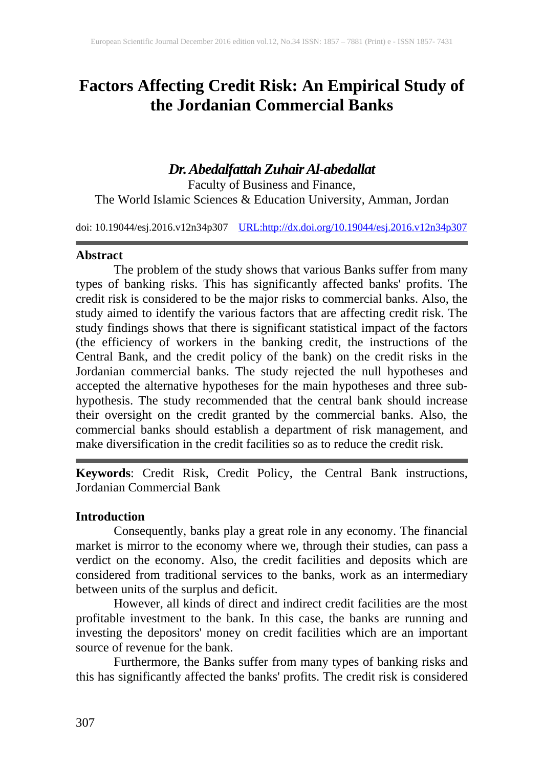# **Factors Affecting Credit Risk: An Empirical Study of the Jordanian Commercial Banks**

## *Dr. Abedalfattah Zuhair Al-abedallat*

Faculty of Business and Finance, The World Islamic Sciences & Education University, Amman, Jordan

doi: 10.19044/esj.2016.v12n34p307 [URL:http://dx.doi.org/10.19044/esj.2016.v12n34p307](http://dx.doi.org/10.19044/esj.2016.v12n34p307)

#### **Abstract**

The problem of the study shows that various Banks suffer from many types of banking risks. This has significantly affected banks' profits. The credit risk is considered to be the major risks to commercial banks. Also, the study aimed to identify the various factors that are affecting credit risk. The study findings shows that there is significant statistical impact of the factors (the efficiency of workers in the banking credit, the instructions of the Central Bank, and the credit policy of the bank) on the credit risks in the Jordanian commercial banks. The study rejected the null hypotheses and accepted the alternative hypotheses for the main hypotheses and three subhypothesis. The study recommended that the central bank should increase their oversight on the credit granted by the commercial banks. Also, the commercial banks should establish a department of risk management, and make diversification in the credit facilities so as to reduce the credit risk.

**Keywords**: Credit Risk, Credit Policy, the Central Bank instructions, Jordanian Commercial Bank

## **Introduction**

Consequently, banks play a great role in any economy. The financial market is mirror to the economy where we, through their studies, can pass a verdict on the economy. Also, the credit facilities and deposits which are considered from traditional services to the banks, work as an intermediary between units of the surplus and deficit.

However, all kinds of direct and indirect credit facilities are the most profitable investment to the bank. In this case, the banks are running and investing the depositors' money on credit facilities which are an important source of revenue for the bank.

Furthermore, the Banks suffer from many types of banking risks and this has significantly affected the banks' profits. The credit risk is considered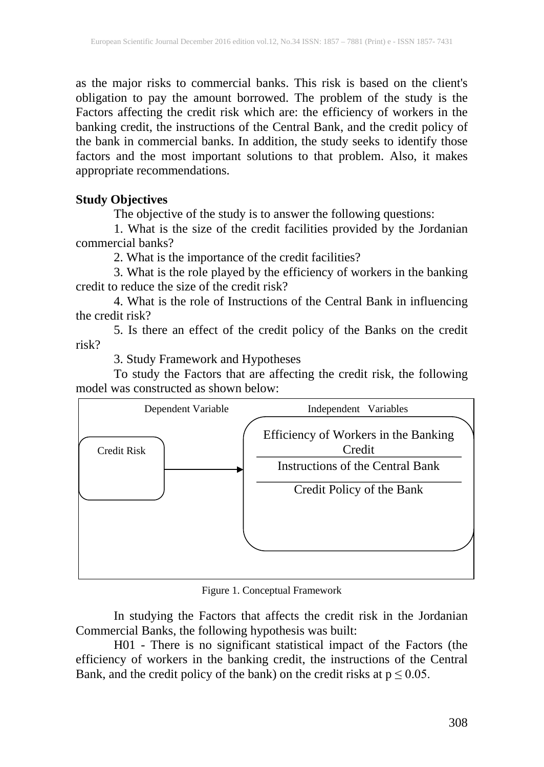as the major risks to commercial banks. This risk is based on the client's obligation to pay the amount borrowed. The problem of the study is the Factors affecting the credit risk which are: the efficiency of workers in the banking credit, the instructions of the Central Bank, and the credit policy of the bank in commercial banks. In addition, the study seeks to identify those factors and the most important solutions to that problem. Also, it makes appropriate recommendations.

#### **Study Objectives**

The objective of the study is to answer the following questions:

1. What is the size of the credit facilities provided by the Jordanian commercial banks?

2. What is the importance of the credit facilities?

3. What is the role played by the efficiency of workers in the banking credit to reduce the size of the credit risk?

4. What is the role of Instructions of the Central Bank in influencing the credit risk?

5. Is there an effect of the credit policy of the Banks on the credit risk?

3. Study Framework and Hypotheses

To study the Factors that are affecting the credit risk, the following model was constructed as shown below:



Figure 1. Conceptual Framework

In studying the Factors that affects the credit risk in the Jordanian Commercial Banks, the following hypothesis was built:

H01 - There is no significant statistical impact of the Factors (the efficiency of workers in the banking credit, the instructions of the Central Bank, and the credit policy of the bank) on the credit risks at  $p \le 0.05$ .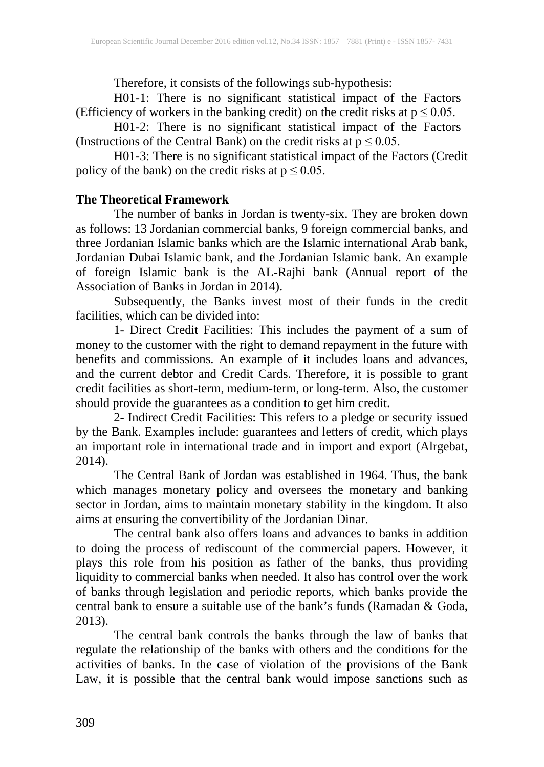Therefore, it consists of the followings sub-hypothesis:

H01-1: There is no significant statistical impact of the Factors (Efficiency of workers in the banking credit) on the credit risks at  $p \le 0.05$ .

H01-2: There is no significant statistical impact of the Factors (Instructions of the Central Bank) on the credit risks at  $p \le 0.05$ .

H01-3: There is no significant statistical impact of the Factors (Credit policy of the bank) on the credit risks at  $p \le 0.05$ .

## **The Theoretical Framework**

The number of banks in Jordan is twenty-six. They are broken down as follows: 13 Jordanian commercial banks, 9 foreign commercial banks, and three Jordanian Islamic banks which are the Islamic international Arab bank, Jordanian Dubai Islamic bank, and the Jordanian Islamic bank. An example of foreign Islamic bank is the AL-Rajhi bank (Annual report of the Association of Banks in Jordan in 2014).

Subsequently, the Banks invest most of their funds in the credit facilities, which can be divided into:

1- Direct Credit Facilities: This includes the payment of a sum of money to the customer with the right to demand repayment in the future with benefits and commissions. An example of it includes loans and advances, and the current debtor and Credit Cards. Therefore, it is possible to grant credit facilities as short-term, medium-term, or long-term. Also, the customer should provide the guarantees as a condition to get him credit.

2- Indirect Credit Facilities: This refers to a pledge or security issued by the Bank. Examples include: guarantees and letters of credit, which plays an important role in international trade and in import and export (Alrgebat, 2014).

The Central Bank of Jordan was established in 1964. Thus, the bank which manages monetary policy and oversees the monetary and banking sector in Jordan, aims to maintain monetary stability in the kingdom. It also aims at ensuring the convertibility of the Jordanian Dinar.

The central bank also offers loans and advances to banks in addition to doing the process of rediscount of the commercial papers. However, it plays this role from his position as father of the banks, thus providing liquidity to commercial banks when needed. It also has control over the work of banks through legislation and periodic reports, which banks provide the central bank to ensure a suitable use of the bank's funds (Ramadan & Goda, 2013).

The central bank controls the banks through the law of banks that regulate the relationship of the banks with others and the conditions for the activities of banks. In the case of violation of the provisions of the Bank Law, it is possible that the central bank would impose sanctions such as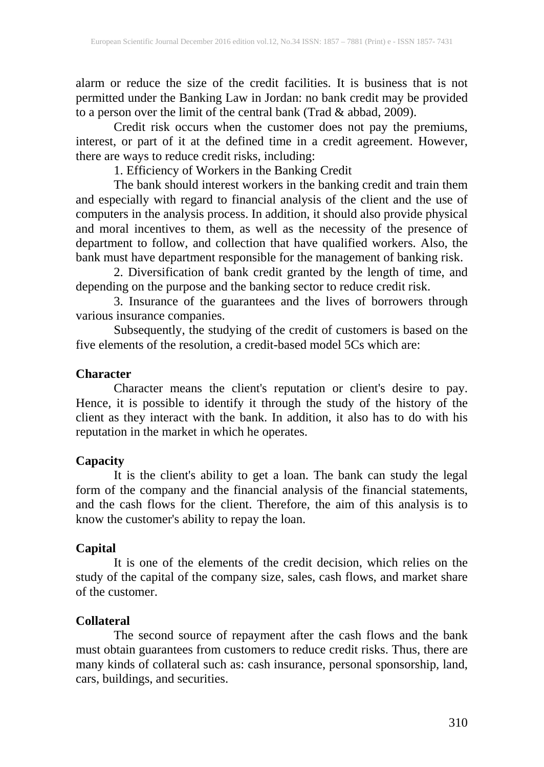alarm or reduce the size of the credit facilities. It is business that is not permitted under the Banking Law in Jordan: no bank credit may be provided to a person over the limit of the central bank (Trad & abbad, 2009).

Credit risk occurs when the customer does not pay the premiums, interest, or part of it at the defined time in a credit agreement. However, there are ways to reduce credit risks, including:

1. Efficiency of Workers in the Banking Credit

The bank should interest workers in the banking credit and train them and especially with regard to financial analysis of the client and the use of computers in the analysis process. In addition, it should also provide physical and moral incentives to them, as well as the necessity of the presence of department to follow, and collection that have qualified workers. Also, the bank must have department responsible for the management of banking risk.

2. Diversification of bank credit granted by the length of time, and depending on the purpose and the banking sector to reduce credit risk.

3. Insurance of the guarantees and the lives of borrowers through various insurance companies.

Subsequently, the studying of the credit of customers is based on the five elements of the resolution, a credit-based model 5Cs which are:

#### **Character**

Character means the client's reputation or client's desire to pay. Hence, it is possible to identify it through the study of the history of the client as they interact with the bank. In addition, it also has to do with his reputation in the market in which he operates.

## **Capacity**

It is the client's ability to get a loan. The bank can study the legal form of the company and the financial analysis of the financial statements, and the cash flows for the client. Therefore, the aim of this analysis is to know the customer's ability to repay the loan.

#### **Capital**

It is one of the elements of the credit decision, which relies on the study of the capital of the company size, sales, cash flows, and market share of the customer.

## **Collateral**

The second source of repayment after the cash flows and the bank must obtain guarantees from customers to reduce credit risks. Thus, there are many kinds of collateral such as: cash insurance, personal sponsorship, land, cars, buildings, and securities.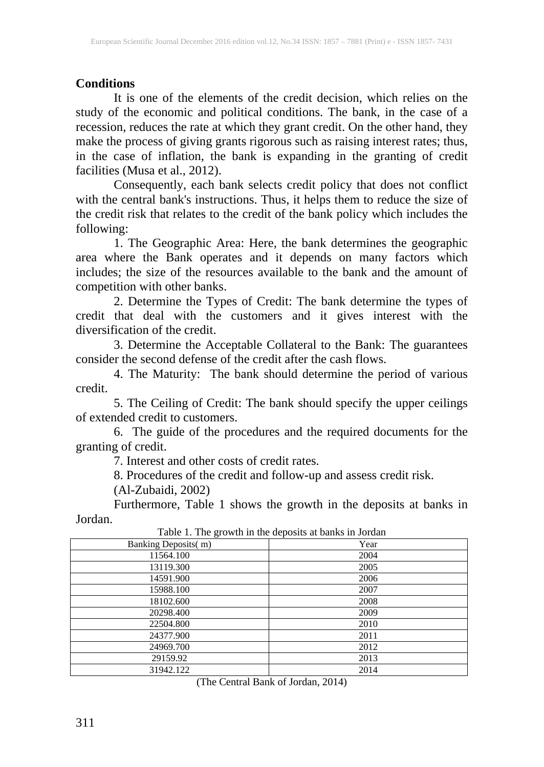## **Conditions**

It is one of the elements of the credit decision, which relies on the study of the economic and political conditions. The bank, in the case of a recession, reduces the rate at which they grant credit. On the other hand, they make the process of giving grants rigorous such as raising interest rates; thus, in the case of inflation, the bank is expanding in the granting of credit facilities (Musa et al., 2012).

Consequently, each bank selects credit policy that does not conflict with the central bank's instructions. Thus, it helps them to reduce the size of the credit risk that relates to the credit of the bank policy which includes the following:

1. The Geographic Area: Here, the bank determines the geographic area where the Bank operates and it depends on many factors which includes; the size of the resources available to the bank and the amount of competition with other banks.

2. Determine the Types of Credit: The bank determine the types of credit that deal with the customers and it gives interest with the diversification of the credit.

3. Determine the Acceptable Collateral to the Bank: The guarantees consider the second defense of the credit after the cash flows.

4. The Maturity: The bank should determine the period of various credit.

5. The Ceiling of Credit: The bank should specify the upper ceilings of extended credit to customers.

6. The guide of the procedures and the required documents for the granting of credit.

7. Interest and other costs of credit rates.

8. Procedures of the credit and follow-up and assess credit risk.

(Al-Zubaidi, 2002)

Furthermore, Table 1 shows the growth in the deposits at banks in Jordan.

| Tuble 1: The growth in the deposits at sums in column |      |
|-------------------------------------------------------|------|
| Banking Deposits(m)                                   | Year |
| 11564.100                                             | 2004 |
| 13119.300                                             | 2005 |
| 14591.900                                             | 2006 |
| 15988.100                                             | 2007 |
| 18102.600                                             | 2008 |
| 20298.400                                             | 2009 |
| 22504.800                                             | 2010 |
| 24377.900                                             | 2011 |
| 24969.700                                             | 2012 |
| 29159.92                                              | 2013 |
| 31942.122                                             | 2014 |

Table 1. The growth in the deposits at banks in Jordan

(The Central Bank of Jordan, 2014)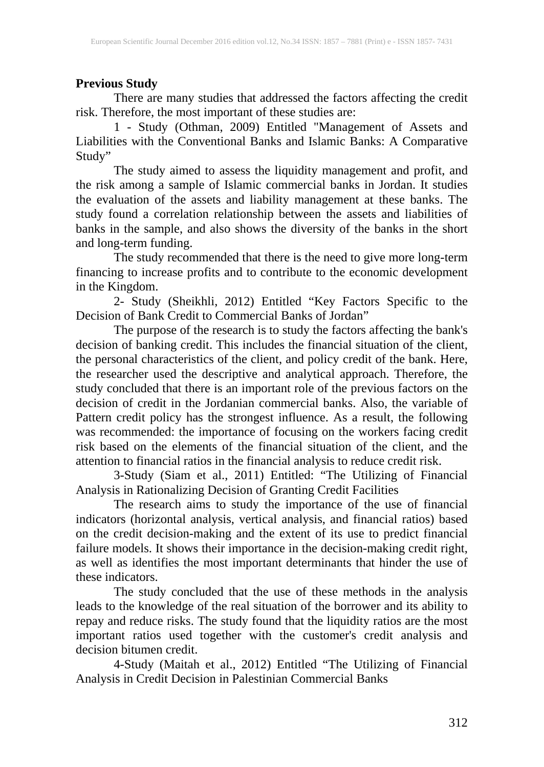## **Previous Study**

There are many studies that addressed the factors affecting the credit risk. Therefore, the most important of these studies are:

1 - Study (Othman, 2009) Entitled "Management of Assets and Liabilities with the Conventional Banks and Islamic Banks: A Comparative Study"

The study aimed to assess the liquidity management and profit, and the risk among a sample of Islamic commercial banks in Jordan. It studies the evaluation of the assets and liability management at these banks. The study found a correlation relationship between the assets and liabilities of banks in the sample, and also shows the diversity of the banks in the short and long-term funding.

The study recommended that there is the need to give more long-term financing to increase profits and to contribute to the economic development in the Kingdom.

2- Study (Sheikhli, 2012) Entitled "Key Factors Specific to the Decision of Bank Credit to Commercial Banks of Jordan"

The purpose of the research is to study the factors affecting the bank's decision of banking credit. This includes the financial situation of the client, the personal characteristics of the client, and policy credit of the bank. Here, the researcher used the descriptive and analytical approach. Therefore, the study concluded that there is an important role of the previous factors on the decision of credit in the Jordanian commercial banks. Also, the variable of Pattern credit policy has the strongest influence. As a result, the following was recommended: the importance of focusing on the workers facing credit risk based on the elements of the financial situation of the client, and the attention to financial ratios in the financial analysis to reduce credit risk.

3-Study (Siam et al., 2011) Entitled: "The Utilizing of Financial Analysis in Rationalizing Decision of Granting Credit Facilities

The research aims to study the importance of the use of financial indicators (horizontal analysis, vertical analysis, and financial ratios) based on the credit decision-making and the extent of its use to predict financial failure models. It shows their importance in the decision-making credit right, as well as identifies the most important determinants that hinder the use of these indicators.

The study concluded that the use of these methods in the analysis leads to the knowledge of the real situation of the borrower and its ability to repay and reduce risks. The study found that the liquidity ratios are the most important ratios used together with the customer's credit analysis and decision bitumen credit.

4-Study (Maitah et al., 2012) Entitled "The Utilizing of Financial Analysis in Credit Decision in Palestinian Commercial Banks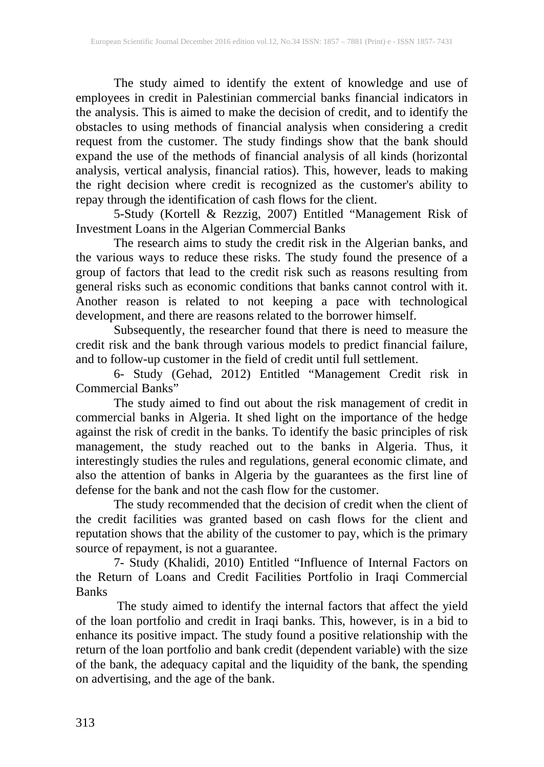The study aimed to identify the extent of knowledge and use of employees in credit in Palestinian commercial banks financial indicators in the analysis. This is aimed to make the decision of credit, and to identify the obstacles to using methods of financial analysis when considering a credit request from the customer. The study findings show that the bank should expand the use of the methods of financial analysis of all kinds (horizontal analysis, vertical analysis, financial ratios). This, however, leads to making the right decision where credit is recognized as the customer's ability to repay through the identification of cash flows for the client.

5-Study (Kortell & Rezzig, 2007) Entitled "Management Risk of Investment Loans in the Algerian Commercial Banks

The research aims to study the credit risk in the Algerian banks, and the various ways to reduce these risks. The study found the presence of a group of factors that lead to the credit risk such as reasons resulting from general risks such as economic conditions that banks cannot control with it. Another reason is related to not keeping a pace with technological development, and there are reasons related to the borrower himself.

Subsequently, the researcher found that there is need to measure the credit risk and the bank through various models to predict financial failure, and to follow-up customer in the field of credit until full settlement.

6- Study (Gehad, 2012) Entitled "Management Credit risk in Commercial Banks"

The study aimed to find out about the risk management of credit in commercial banks in Algeria. It shed light on the importance of the hedge against the risk of credit in the banks. To identify the basic principles of risk management, the study reached out to the banks in Algeria. Thus, it interestingly studies the rules and regulations, general economic climate, and also the attention of banks in Algeria by the guarantees as the first line of defense for the bank and not the cash flow for the customer.

The study recommended that the decision of credit when the client of the credit facilities was granted based on cash flows for the client and reputation shows that the ability of the customer to pay, which is the primary source of repayment, is not a guarantee.

7- Study (Khalidi, 2010) Entitled "Influence of Internal Factors on the Return of Loans and Credit Facilities Portfolio in Iraqi Commercial **Banks** 

The study aimed to identify the internal factors that affect the yield of the loan portfolio and credit in Iraqi banks. This, however, is in a bid to enhance its positive impact. The study found a positive relationship with the return of the loan portfolio and bank credit (dependent variable) with the size of the bank, the adequacy capital and the liquidity of the bank, the spending on advertising, and the age of the bank.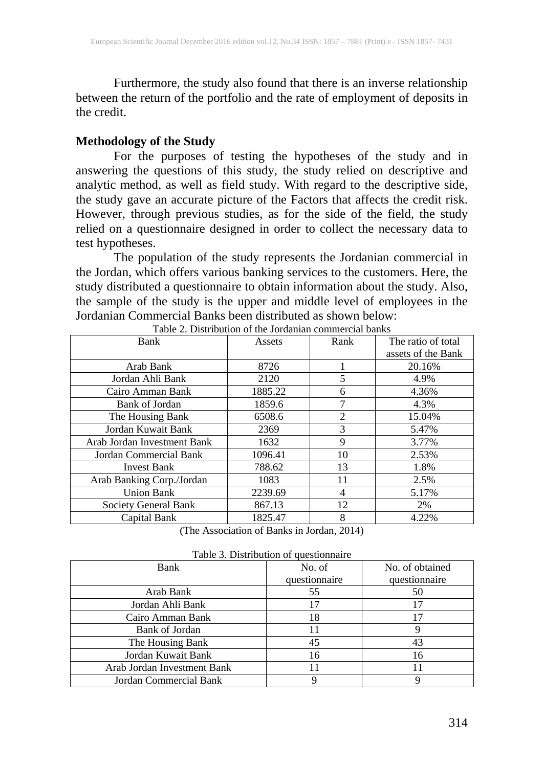Furthermore, the study also found that there is an inverse relationship between the return of the portfolio and the rate of employment of deposits in the credit.

#### **Methodology of the Study**

For the purposes of testing the hypotheses of the study and in answering the questions of this study, the study relied on descriptive and analytic method, as well as field study. With regard to the descriptive side, the study gave an accurate picture of the Factors that affects the credit risk. However, through previous studies, as for the side of the field, the study relied on a questionnaire designed in order to collect the necessary data to test hypotheses.

The population of the study represents the Jordanian commercial in the Jordan, which offers various banking services to the customers. Here, the study distributed a questionnaire to obtain information about the study. Also, the sample of the study is the upper and middle level of employees in the Jordanian Commercial Banks been distributed as shown below:

| Bank                        | Assets  | Rank           | The ratio of total |
|-----------------------------|---------|----------------|--------------------|
|                             |         |                | assets of the Bank |
| Arab Bank                   | 8726    | 1              | 20.16%             |
| Jordan Ahli Bank            | 2120    | 5              | 4.9%               |
| Cairo Amman Bank            | 1885.22 | 6              | 4.36%              |
| Bank of Jordan              | 1859.6  | 7              | 4.3%               |
| The Housing Bank            | 6508.6  | $\overline{2}$ | 15.04%             |
| Jordan Kuwait Bank          | 2369    | 3              | 5.47%              |
| Arab Jordan Investment Bank | 1632    | 9              | 3.77%              |
| Jordan Commercial Bank      | 1096.41 | 10             | 2.53%              |
| <b>Invest Bank</b>          | 788.62  | 13             | 1.8%               |
| Arab Banking Corp./Jordan   | 1083    | 11             | 2.5%               |
| <b>Union Bank</b>           | 2239.69 | 4              | 5.17%              |
| Society General Bank        | 867.13  | 12             | 2%                 |
| Capital Bank                | 1825.47 | 8              | 4.22%              |

Table 2. Distribution of the Jordanian commercial banks

(The Association of Banks in Jordan, 2014)

|                             | rable 5. Distribution of questionnance |                 |
|-----------------------------|----------------------------------------|-----------------|
| Bank                        | No. of                                 | No. of obtained |
|                             | questionnaire                          | questionnaire   |
| Arab Bank                   | 55                                     | 50              |
| Jordan Ahli Bank            |                                        | 17              |
| Cairo Amman Bank            | 18                                     | 17              |
| Bank of Jordan              |                                        |                 |
| The Housing Bank            | 45                                     | 43              |
| Jordan Kuwait Bank          | 16                                     | 16              |
| Arab Jordan Investment Bank |                                        |                 |
| Jordan Commercial Bank      |                                        |                 |

|  | Table 3. Distribution of questionnaire |  |  |  |
|--|----------------------------------------|--|--|--|
|--|----------------------------------------|--|--|--|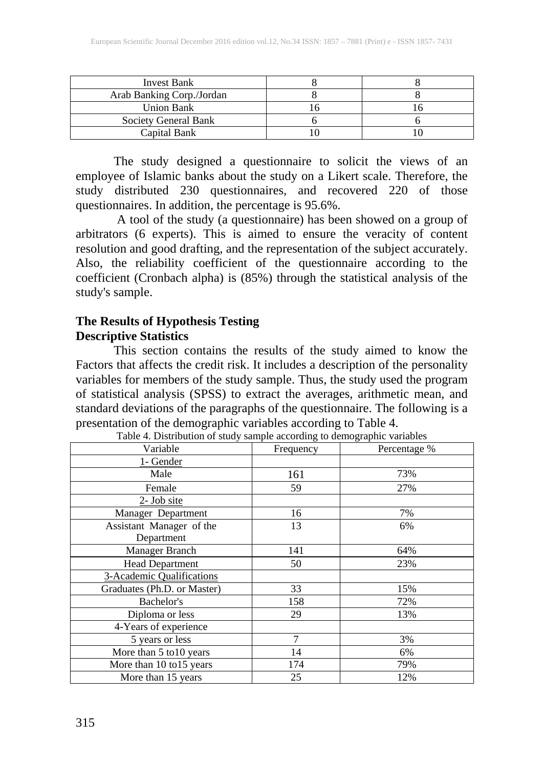| <b>Invest Bank</b>        |  |
|---------------------------|--|
| Arab Banking Corp./Jordan |  |
| <b>Union Bank</b>         |  |
| Society General Bank      |  |
| Capital Bank              |  |

The study designed a questionnaire to solicit the views of an employee of Islamic banks about the study on a Likert scale. Therefore, the study distributed 230 questionnaires, and recovered 220 of those questionnaires. In addition, the percentage is 95.6%.

A tool of the study (a questionnaire) has been showed on a group of arbitrators (6 experts). This is aimed to ensure the veracity of content resolution and good drafting, and the representation of the subject accurately. Also, the reliability coefficient of the questionnaire according to the coefficient (Cronbach alpha) is (85%) through the statistical analysis of the study's sample.

## **The Results of Hypothesis Testing Descriptive Statistics**

This section contains the results of the study aimed to know the Factors that affects the credit risk. It includes a description of the personality variables for members of the study sample. Thus, the study used the program of statistical analysis (SPSS) to extract the averages, arithmetic mean, and standard deviations of the paragraphs of the questionnaire. The following is a presentation of the demographic variables according to Table 4.

| Variable                    | Frequency | Percentage % |
|-----------------------------|-----------|--------------|
| 1- Gender                   |           |              |
| Male                        | 161       | 73%          |
| Female                      | 59        | 27%          |
| $2$ - Job site              |           |              |
| Manager Department          | 16        | 7%           |
| Assistant Manager of the    | 13        | 6%           |
| Department                  |           |              |
| Manager Branch              | 141       | 64%          |
| <b>Head Department</b>      | 50        | 23%          |
| 3-Academic Qualifications   |           |              |
| Graduates (Ph.D. or Master) | 33        | 15%          |
| Bachelor's                  | 158       | 72%          |
| Diploma or less             | 29        | 13%          |
| 4-Years of experience       |           |              |
| 5 years or less             | 7         | 3%           |
| More than 5 to 10 years     | 14        | 6%           |
| More than 10 to15 years     | 174       | 79%          |
| More than 15 years          | 25        | 12%          |

Table 4. Distribution of study sample according to demographic variables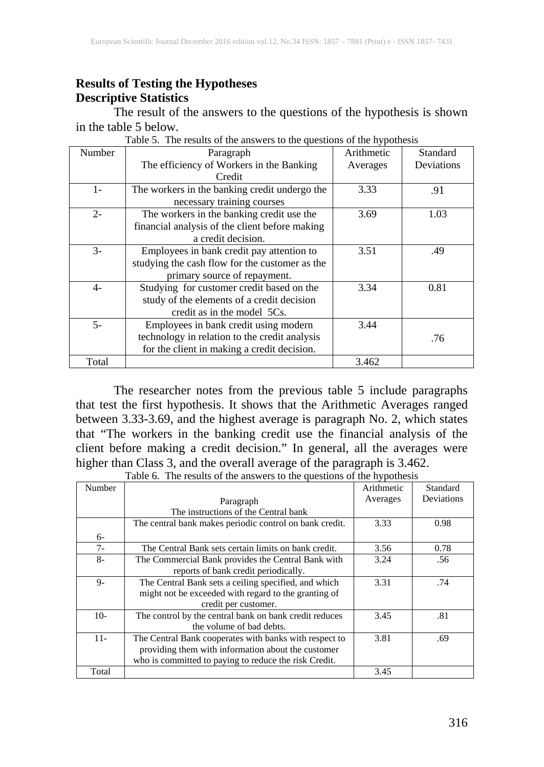## **Results of Testing the Hypotheses Descriptive Statistics**

The result of the answers to the questions of the hypothesis is shown in the table 5 below.

| Number | Paragraph                                      | Arithmetic | Standard   |
|--------|------------------------------------------------|------------|------------|
|        | The efficiency of Workers in the Banking       | Averages   | Deviations |
|        | Credit                                         |            |            |
| $1-$   | The workers in the banking credit undergo the  | 3.33       | .91        |
|        | necessary training courses                     |            |            |
| $2 -$  | The workers in the banking credit use the      | 3.69       | 1.03       |
|        | financial analysis of the client before making |            |            |
|        | a credit decision.                             |            |            |
| $3-$   | Employees in bank credit pay attention to      | 3.51       | .49        |
|        | studying the cash flow for the customer as the |            |            |
|        | primary source of repayment.                   |            |            |
| $4-$   | Studying for customer credit based on the      | 3.34       | 0.81       |
|        | study of the elements of a credit decision     |            |            |
|        | credit as in the model 5Cs.                    |            |            |
| $5-$   | Employees in bank credit using modern          | 3.44       |            |
|        | technology in relation to the credit analysis  |            | .76        |
|        | for the client in making a credit decision.    |            |            |
| Total  |                                                | 3.462      |            |

Table 5. The results of the answers to the questions of the hypothesis

The researcher notes from the previous table 5 include paragraphs that test the first hypothesis. It shows that the Arithmetic Averages ranged between 3.33-3.69, and the highest average is paragraph No. 2, which states that "The workers in the banking credit use the financial analysis of the client before making a credit decision." In general, all the averages were higher than Class 3, and the overall average of the paragraph is 3.462.

|        | Table 0. The results of the allswers to the questions of the hypothesis |            |            |
|--------|-------------------------------------------------------------------------|------------|------------|
| Number |                                                                         | Arithmetic | Standard   |
|        | Paragraph                                                               | Averages   | Deviations |
|        | The instructions of the Central bank                                    |            |            |
|        | The central bank makes periodic control on bank credit.                 | 3.33       | 0.98       |
| $6-$   |                                                                         |            |            |
| $7 -$  | The Central Bank sets certain limits on bank credit.                    | 3.56       | 0.78       |
| $8-$   | The Commercial Bank provides the Central Bank with                      | 3.24       | .56        |
|        | reports of bank credit periodically.                                    |            |            |
| $9-$   | The Central Bank sets a ceiling specified, and which                    | 3.31       | .74        |
|        | might not be exceeded with regard to the granting of                    |            |            |
|        | credit per customer.                                                    |            |            |
| $10-$  | The control by the central bank on bank credit reduces                  | 3.45       | .81        |
|        | the volume of bad debts.                                                |            |            |
| $11 -$ | The Central Bank cooperates with banks with respect to                  | 3.81       | .69        |
|        | providing them with information about the customer                      |            |            |
|        | who is committed to paying to reduce the risk Credit.                   |            |            |
| Total  |                                                                         | 3.45       |            |

Table 6. The results of the answers to the questions of the hypothesis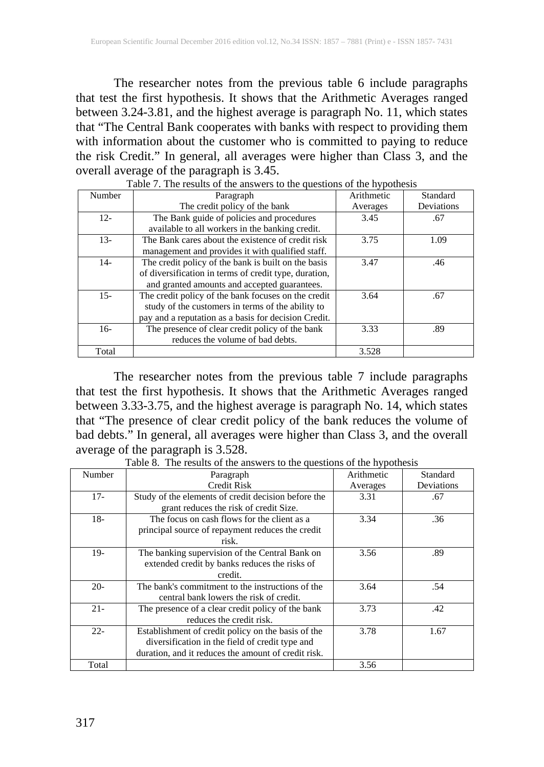The researcher notes from the previous table 6 include paragraphs that test the first hypothesis. It shows that the Arithmetic Averages ranged between 3.24-3.81, and the highest average is paragraph No. 11, which states that "The Central Bank cooperates with banks with respect to providing them with information about the customer who is committed to paying to reduce the risk Credit." In general, all averages were higher than Class 3, and the overall average of the paragraph is 3.45.

| Number | Paragraph                                             | Arithmetic | Standard   |
|--------|-------------------------------------------------------|------------|------------|
|        | The credit policy of the bank                         | Averages   | Deviations |
| $12 -$ | The Bank guide of policies and procedures             | 3.45       | .67        |
|        | available to all workers in the banking credit.       |            |            |
| $13-$  | The Bank cares about the existence of credit risk     | 3.75       | 1.09       |
|        | management and provides it with qualified staff.      |            |            |
| $14-$  | The credit policy of the bank is built on the basis   | 3.47       | .46        |
|        | of diversification in terms of credit type, duration, |            |            |
|        | and granted amounts and accepted guarantees.          |            |            |
| $15 -$ | The credit policy of the bank focuses on the credit   | 3.64       | .67        |
|        | study of the customers in terms of the ability to     |            |            |
|        | pay and a reputation as a basis for decision Credit.  |            |            |
| $16-$  | The presence of clear credit policy of the bank       | 3.33       | .89        |
|        | reduces the volume of bad debts.                      |            |            |
| Total  |                                                       | 3.528      |            |

Table 7. The results of the answers to the questions of the hypothesis

The researcher notes from the previous table 7 include paragraphs that test the first hypothesis. It shows that the Arithmetic Averages ranged between 3.33-3.75, and the highest average is paragraph No. 14, which states that "The presence of clear credit policy of the bank reduces the volume of bad debts." In general, all averages were higher than Class 3, and the overall average of the paragraph is 3.528.

| Number | Paragraph                                           | Arithmetic | Standard   |
|--------|-----------------------------------------------------|------------|------------|
|        | Credit Risk                                         | Averages   | Deviations |
| $17-$  | Study of the elements of credit decision before the | 3.31       | .67        |
|        | grant reduces the risk of credit Size.              |            |            |
| $18-$  | The focus on cash flows for the client as a         | 3.34       | .36        |
|        | principal source of repayment reduces the credit    |            |            |
|        | risk.                                               |            |            |
| $19-$  | The banking supervision of the Central Bank on      | 3.56       | .89        |
|        | extended credit by banks reduces the risks of       |            |            |
|        | credit.                                             |            |            |
| $20-$  | The bank's commitment to the instructions of the    | 3.64       | .54        |
|        | central bank lowers the risk of credit.             |            |            |
| $21 -$ | The presence of a clear credit policy of the bank   | 3.73       | .42        |
|        | reduces the credit risk.                            |            |            |
| $22 -$ | Establishment of credit policy on the basis of the  | 3.78       | 1.67       |
|        | diversification in the field of credit type and     |            |            |
|        | duration, and it reduces the amount of credit risk. |            |            |
| Total  |                                                     | 3.56       |            |

Table 8. The results of the answers to the questions of the hypothesis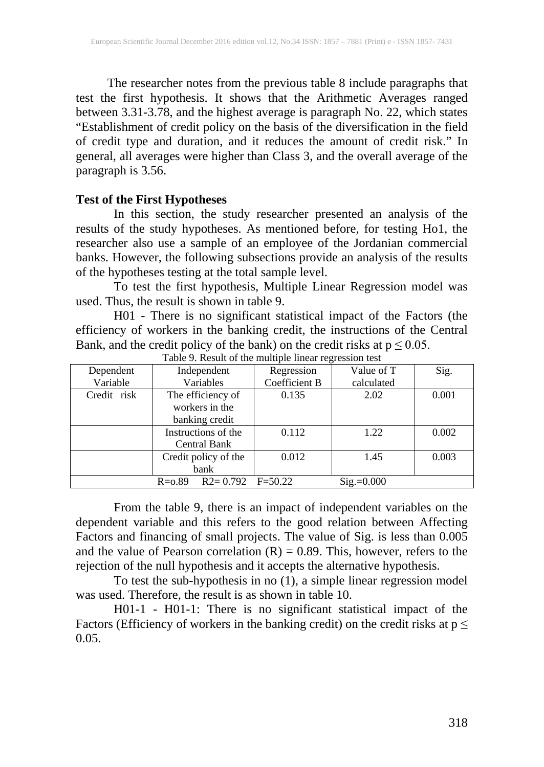The researcher notes from the previous table 8 include paragraphs that test the first hypothesis. It shows that the Arithmetic Averages ranged between 3.31-3.78, and the highest average is paragraph No. 22, which states "Establishment of credit policy on the basis of the diversification in the field of credit type and duration, and it reduces the amount of credit risk." In general, all averages were higher than Class 3, and the overall average of the paragraph is 3.56.

#### **Test of the First Hypotheses**

In this section, the study researcher presented an analysis of the results of the study hypotheses. As mentioned before, for testing Ho1, the researcher also use a sample of an employee of the Jordanian commercial banks. However, the following subsections provide an analysis of the results of the hypotheses testing at the total sample level.

To test the first hypothesis, Multiple Linear Regression model was used. Thus, the result is shown in table 9.

H01 - There is no significant statistical impact of the Factors (the efficiency of workers in the banking credit, the instructions of the Central Bank, and the credit policy of the bank) on the credit risks at  $p \le 0.05$ .

| Dependent   | Independent                | Regression    | Value of T   | Sig.  |
|-------------|----------------------------|---------------|--------------|-------|
| Variable    | Variables                  | Coefficient B | calculated   |       |
| Credit risk | The efficiency of          | 0.135         | 2.02         | 0.001 |
|             | workers in the             |               |              |       |
|             | banking credit             |               |              |       |
|             | Instructions of the        | 0.112         | 1.22         | 0.002 |
|             | <b>Central Bank</b>        |               |              |       |
|             | Credit policy of the       | 0.012         | 1.45         | 0.003 |
|             | bank                       |               |              |       |
|             | $R2 = 0.792$<br>$R = 0.89$ | $F = 50.22$   | $Sig.=0.000$ |       |

Table 9. Result of the multiple linear regression test

From the table 9, there is an impact of independent variables on the dependent variable and this refers to the good relation between Affecting Factors and financing of small projects. The value of Sig. is less than 0.005 and the value of Pearson correlation  $(R) = 0.89$ . This, however, refers to the rejection of the null hypothesis and it accepts the alternative hypothesis.

To test the sub-hypothesis in no (1), a simple linear regression model was used. Therefore, the result is as shown in table 10.

H01-1 - H01-1: There is no significant statistical impact of the Factors (Efficiency of workers in the banking credit) on the credit risks at  $p \leq$ 0.05.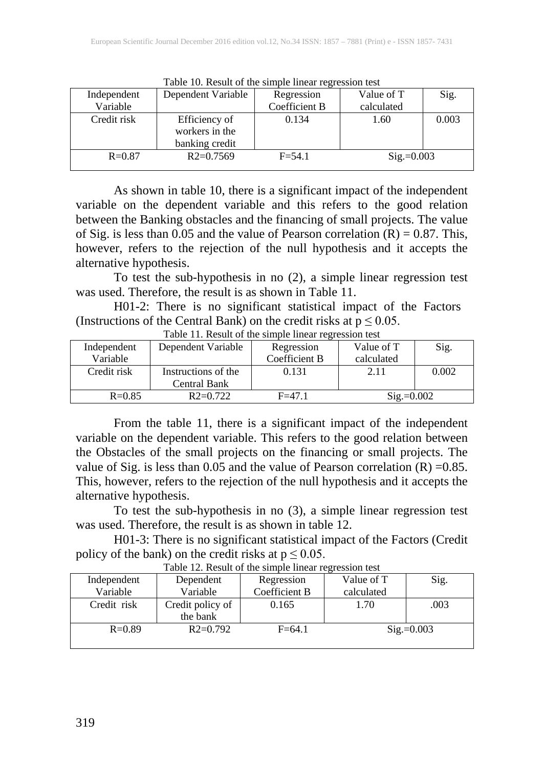| Tuolo To, Roban of the billiple linear regression test |                    |               |                       |       |  |
|--------------------------------------------------------|--------------------|---------------|-----------------------|-------|--|
| Independent                                            | Dependent Variable | Regression    | Value of T            | Sig.  |  |
| Variable                                               |                    | Coefficient B | calculated            |       |  |
| Credit risk                                            | Efficiency of      | 0.134         | 1.60                  | 0.003 |  |
|                                                        | workers in the     |               |                       |       |  |
|                                                        | banking credit     |               |                       |       |  |
| $R = 0.87$                                             | $R2=0.7569$        | $F = 54.1$    | $\text{Sig.} = 0.003$ |       |  |
|                                                        |                    |               |                       |       |  |

Table 10. Result of the simple linear regression test

As shown in table 10, there is a significant impact of the independent variable on the dependent variable and this refers to the good relation between the Banking obstacles and the financing of small projects. The value of Sig. is less than 0.05 and the value of Pearson correlation  $(R) = 0.87$ . This, however, refers to the rejection of the null hypothesis and it accepts the alternative hypothesis.

To test the sub-hypothesis in no (2), a simple linear regression test was used. Therefore, the result is as shown in Table 11.

H01-2: There is no significant statistical impact of the Factors (Instructions of the Central Bank) on the credit risks at  $p \le 0.05$ .

| Independent | Dependent Variable  | Regression    | Value of T   | Sig.  |
|-------------|---------------------|---------------|--------------|-------|
| Variable    |                     | Coefficient B | calculated   |       |
| Credit risk | Instructions of the | 0.131         | 2.11         | 0.002 |
|             | Central Bank        |               |              |       |
| $R = 0.85$  | $R2=0.722$          | $F = 47.1$    | $Sig.=0.002$ |       |

Table 11. Result of the simple linear regression test

From the table 11, there is a significant impact of the independent variable on the dependent variable. This refers to the good relation between the Obstacles of the small projects on the financing or small projects. The value of Sig. is less than 0.05 and the value of Pearson correlation  $(R) = 0.85$ . This, however, refers to the rejection of the null hypothesis and it accepts the alternative hypothesis.

To test the sub-hypothesis in no (3), a simple linear regression test was used. Therefore, the result is as shown in table 12.

H01-3: There is no significant statistical impact of the Factors (Credit policy of the bank) on the credit risks at  $p \le 0.05$ .

| Independent | Dependent        | Regression    | Value of T    | Sig. |
|-------------|------------------|---------------|---------------|------|
| Variable    | Variable         | Coefficient B | calculated    |      |
| Credit risk | Credit policy of | 0.165         | 1.70          | .003 |
|             | the bank         |               |               |      |
| $R = 0.89$  | $R2=0.792$       | $F = 64.1$    | $Sig = 0.003$ |      |
|             |                  |               |               |      |

Table 12. Result of the simple linear regression test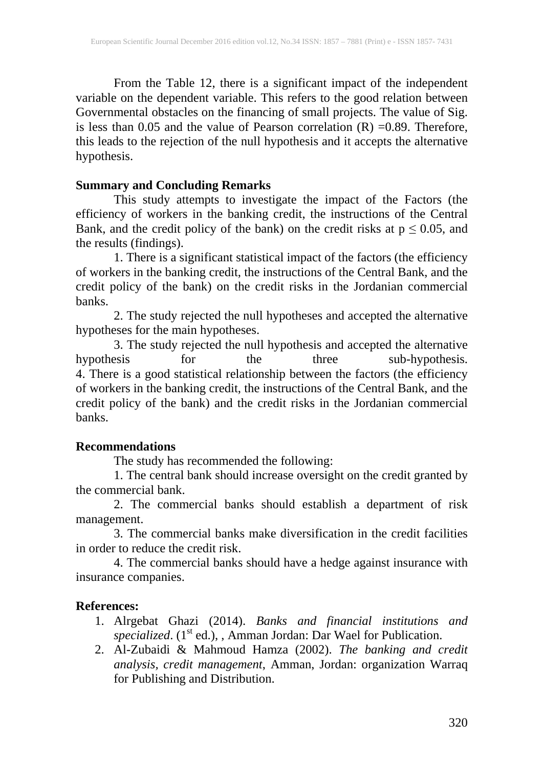From the Table 12, there is a significant impact of the independent variable on the dependent variable. This refers to the good relation between Governmental obstacles on the financing of small projects. The value of Sig. is less than 0.05 and the value of Pearson correlation (R) =0.89. Therefore, this leads to the rejection of the null hypothesis and it accepts the alternative hypothesis.

## **Summary and Concluding Remarks**

This study attempts to investigate the impact of the Factors (the efficiency of workers in the banking credit, the instructions of the Central Bank, and the credit policy of the bank) on the credit risks at  $p \le 0.05$ , and the results (findings).

1. There is a significant statistical impact of the factors (the efficiency of workers in the banking credit, the instructions of the Central Bank, and the credit policy of the bank) on the credit risks in the Jordanian commercial banks.

2. The study rejected the null hypotheses and accepted the alternative hypotheses for the main hypotheses.

3. The study rejected the null hypothesis and accepted the alternative<br>hypothesis for the sub-hypothesis. hypothesis for the three sub-hypothesis. 4. There is a good statistical relationship between the factors (the efficiency of workers in the banking credit, the instructions of the Central Bank, and the credit policy of the bank) and the credit risks in the Jordanian commercial banks.

#### **Recommendations**

The study has recommended the following:

1. The central bank should increase oversight on the credit granted by the commercial bank.

2. The commercial banks should establish a department of risk management.

3. The commercial banks make diversification in the credit facilities in order to reduce the credit risk.

4. The commercial banks should have a hedge against insurance with insurance companies.

## **References:**

- 1. Alrgebat Ghazi (2014). *Banks and financial institutions and*  specialized. (1<sup>st</sup> ed.), , Amman Jordan: Dar Wael for Publication.
- 2. Al-Zubaidi & Mahmoud Hamza (2002). *The banking and credit analysis, credit management*, Amman, Jordan: organization Warraq for Publishing and Distribution.